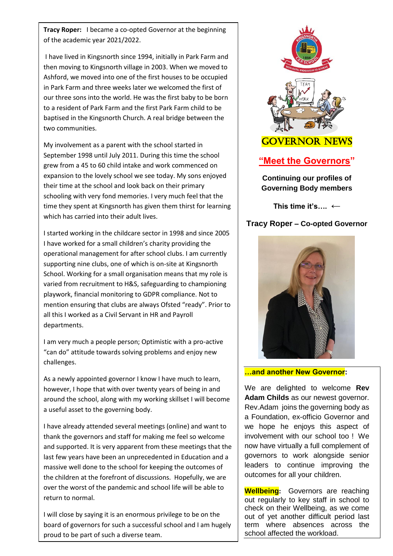**Tracy Roper:** I became a co-opted Governor at the beginning of the academic year 2021/2022.

I have lived in Kingsnorth since 1994, initially in Park Farm and then moving to Kingsnorth village in 2003. When we moved to Ashford, we moved into one of the first houses to be occupied in Park Farm and three weeks later we welcomed the first of our three sons into the world. He was the first baby to be born to a resident of Park Farm and the first Park Farm child to be baptised in the Kingsnorth Church. A real bridge between the two communities.

My involvement as a parent with the school started in September 1998 until July 2011. During this time the school grew from a 45 to 60 child intake and work commenced on expansion to the lovely school we see today. My sons enjoyed their time at the school and look back on their primary schooling with very fond memories. I very much feel that the time they spent at Kingsnorth has given them thirst for learning which has carried into their adult lives.

I started working in the childcare sector in 1998 and since 2005 I have worked for a small children's charity providing the operational management for after school clubs. I am currently supporting nine clubs, one of which is on-site at Kingsnorth School. Working for a small organisation means that my role is varied from recruitment to H&S, safeguarding to championing playwork, financial monitoring to GDPR compliance. Not to mention ensuring that clubs are always Ofsted "ready". Prior to all this I worked as a Civil Servant in HR and Payroll departments.

I am very much a people person; Optimistic with a pro-active "can do" attitude towards solving problems and enjoy new challenges.

As a newly appointed governor I know I have much to learn, however, I hope that with over twenty years of being in and around the school, along with my working skillset I will become a useful asset to the governing body.

I have already attended several meetings (online) and want to thank the governors and staff for making me feel so welcome and supported. It is very apparent from these meetings that the last few years have been an unprecedented in Education and a massive well done to the school for keeping the outcomes of the children at the forefront of discussions. Hopefully, we are over the worst of the pandemic and school life will be able to return to normal.

I will close by saying it is an enormous privilege to be on the board of governors for such a successful school and I am hugely proud to be part of such a diverse team.



**This time it's…. ←**

# **Tracy Roper – Co-opted Governor**



#### **…and another New Governor:**

We are delighted to welcome **Rev Adam Childs** as our newest governor. Rev.Adam joins the governing body as a Foundation, ex-officio Governor and we hope he enjoys this aspect of involvement with our school too ! We now have virtually a full complement of governors to work alongside senior leaders to continue improving the outcomes for all your children.

**Wellbeing:** Governors are reaching out regularly to key staff in school to check on their Wellbeing, as we come out of yet another difficult period last term where absences across the school affected the workload.